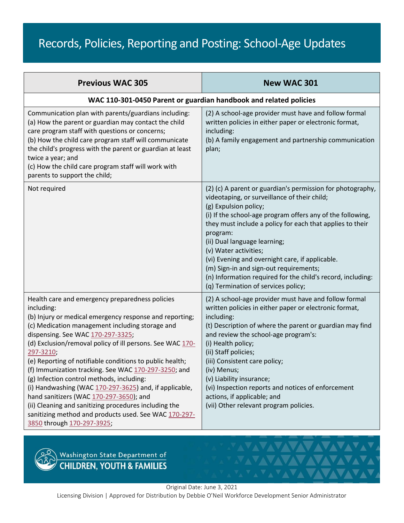## Records, Policies, Reporting and Posting: School-Age Updates

| <b>Previous WAC 305</b>                                                                                                                                                                                                                                                                                                                                                                                                                                                                                                                                                                                                                                                                                          | <b>New WAC 301</b>                                                                                                                                                                                                                                                                                                                                                                                                                                                                                                                     |
|------------------------------------------------------------------------------------------------------------------------------------------------------------------------------------------------------------------------------------------------------------------------------------------------------------------------------------------------------------------------------------------------------------------------------------------------------------------------------------------------------------------------------------------------------------------------------------------------------------------------------------------------------------------------------------------------------------------|----------------------------------------------------------------------------------------------------------------------------------------------------------------------------------------------------------------------------------------------------------------------------------------------------------------------------------------------------------------------------------------------------------------------------------------------------------------------------------------------------------------------------------------|
|                                                                                                                                                                                                                                                                                                                                                                                                                                                                                                                                                                                                                                                                                                                  | WAC 110-301-0450 Parent or guardian handbook and related policies                                                                                                                                                                                                                                                                                                                                                                                                                                                                      |
| Communication plan with parents/guardians including:<br>(a) How the parent or guardian may contact the child<br>care program staff with questions or concerns;<br>(b) How the child care program staff will communicate<br>the child's progress with the parent or guardian at least<br>twice a year; and<br>(c) How the child care program staff will work with<br>parents to support the child;                                                                                                                                                                                                                                                                                                                | (2) A school-age provider must have and follow formal<br>written policies in either paper or electronic format,<br>including:<br>(b) A family engagement and partnership communication<br>plan;                                                                                                                                                                                                                                                                                                                                        |
| Not required                                                                                                                                                                                                                                                                                                                                                                                                                                                                                                                                                                                                                                                                                                     | (2) (c) A parent or guardian's permission for photography,<br>videotaping, or surveillance of their child;<br>(g) Expulsion policy;<br>(i) If the school-age program offers any of the following,<br>they must include a policy for each that applies to their<br>program:<br>(ii) Dual language learning;<br>(v) Water activities;<br>(vi) Evening and overnight care, if applicable.<br>(m) Sign-in and sign-out requirements;<br>(n) Information required for the child's record, including:<br>(q) Termination of services policy; |
| Health care and emergency preparedness policies<br>including:<br>(b) Injury or medical emergency response and reporting;<br>(c) Medication management including storage and<br>dispensing. See WAC 170-297-3325;<br>(d) Exclusion/removal policy of ill persons. See WAC 170-<br>297-3210;<br>(e) Reporting of notifiable conditions to public health;<br>(f) Immunization tracking. See WAC 170-297-3250; and<br>(g) Infection control methods, including:<br>(i) Handwashing (WAC 170-297-3625) and, if applicable,<br>hand sanitizers (WAC 170-297-3650); and<br>(ii) Cleaning and sanitizing procedures including the<br>sanitizing method and products used. See WAC 170-297-<br>3850 through 170-297-3925; | (2) A school-age provider must have and follow formal<br>written policies in either paper or electronic format,<br>including:<br>(t) Description of where the parent or guardian may find<br>and review the school-age program's:<br>(i) Health policy;<br>(ii) Staff policies;<br>(iii) Consistent care policy;<br>(iv) Menus;<br>(v) Liability insurance;<br>(vi) Inspection reports and notices of enforcement<br>actions, if applicable; and<br>(vii) Other relevant program policies.                                             |



Washington State Department of<br>CHILDREN, YOUTH & FAMILIES

Original Date: June 3, 2021

Licensing Division | Approved for Distribution by Debbie O'Neil Workforce Development Senior Administrator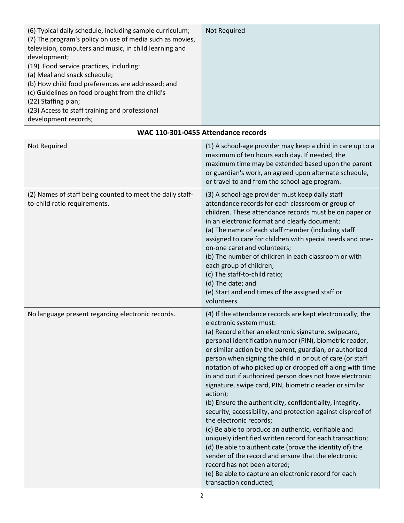| (6) Typical daily schedule, including sample curriculum;<br>(7) The program's policy on use of media such as movies,<br>television, computers and music, in child learning and<br>development;<br>(19) Food service practices, including:<br>(a) Meal and snack schedule;<br>(b) How child food preferences are addressed; and<br>(c) Guidelines on food brought from the child's<br>(22) Staffing plan;<br>(23) Access to staff training and professional<br>development records; | Not Required                                                                                                                                                                                                                                                                                                                                                                                                                                                                                                                                                                                                                                                                                                                                                                                                                                                                                                                                                                                                                                   |
|------------------------------------------------------------------------------------------------------------------------------------------------------------------------------------------------------------------------------------------------------------------------------------------------------------------------------------------------------------------------------------------------------------------------------------------------------------------------------------|------------------------------------------------------------------------------------------------------------------------------------------------------------------------------------------------------------------------------------------------------------------------------------------------------------------------------------------------------------------------------------------------------------------------------------------------------------------------------------------------------------------------------------------------------------------------------------------------------------------------------------------------------------------------------------------------------------------------------------------------------------------------------------------------------------------------------------------------------------------------------------------------------------------------------------------------------------------------------------------------------------------------------------------------|
|                                                                                                                                                                                                                                                                                                                                                                                                                                                                                    | WAC 110-301-0455 Attendance records                                                                                                                                                                                                                                                                                                                                                                                                                                                                                                                                                                                                                                                                                                                                                                                                                                                                                                                                                                                                            |
| Not Required                                                                                                                                                                                                                                                                                                                                                                                                                                                                       | (1) A school-age provider may keep a child in care up to a<br>maximum of ten hours each day. If needed, the<br>maximum time may be extended based upon the parent<br>or guardian's work, an agreed upon alternate schedule,<br>or travel to and from the school-age program.                                                                                                                                                                                                                                                                                                                                                                                                                                                                                                                                                                                                                                                                                                                                                                   |
| (2) Names of staff being counted to meet the daily staff-<br>to-child ratio requirements.                                                                                                                                                                                                                                                                                                                                                                                          | (3) A school-age provider must keep daily staff<br>attendance records for each classroom or group of<br>children. These attendance records must be on paper or<br>in an electronic format and clearly document:<br>(a) The name of each staff member (including staff<br>assigned to care for children with special needs and one-<br>on-one care) and volunteers;<br>(b) The number of children in each classroom or with<br>each group of children;<br>(c) The staff-to-child ratio;<br>(d) The date; and<br>(e) Start and end times of the assigned staff or<br>volunteers.                                                                                                                                                                                                                                                                                                                                                                                                                                                                 |
| No language present regarding electronic records.                                                                                                                                                                                                                                                                                                                                                                                                                                  | (4) If the attendance records are kept electronically, the<br>electronic system must:<br>(a) Record either an electronic signature, swipecard,<br>personal identification number (PIN), biometric reader,<br>or similar action by the parent, guardian, or authorized<br>person when signing the child in or out of care (or staff<br>notation of who picked up or dropped off along with time<br>in and out if authorized person does not have electronic<br>signature, swipe card, PIN, biometric reader or similar<br>action);<br>(b) Ensure the authenticity, confidentiality, integrity,<br>security, accessibility, and protection against disproof of<br>the electronic records;<br>(c) Be able to produce an authentic, verifiable and<br>uniquely identified written record for each transaction;<br>(d) Be able to authenticate (prove the identity of) the<br>sender of the record and ensure that the electronic<br>record has not been altered;<br>(e) Be able to capture an electronic record for each<br>transaction conducted; |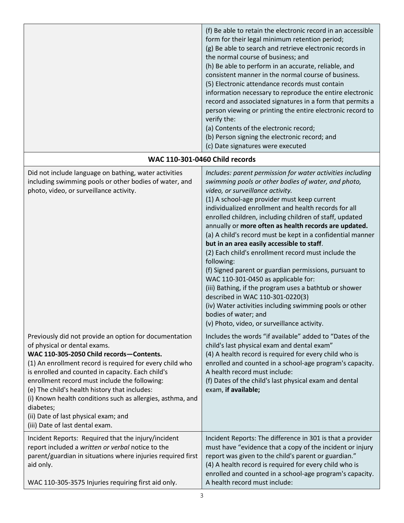|                                                                                                                                                                                                                                                                                                                                                                                                                                                                                                             | (f) Be able to retain the electronic record in an accessible<br>form for their legal minimum retention period;<br>(g) Be able to search and retrieve electronic records in<br>the normal course of business; and<br>(h) Be able to perform in an accurate, reliable, and<br>consistent manner in the normal course of business.<br>(5) Electronic attendance records must contain<br>information necessary to reproduce the entire electronic<br>record and associated signatures in a form that permits a<br>person viewing or printing the entire electronic record to<br>verify the:<br>(a) Contents of the electronic record;<br>(b) Person signing the electronic record; and<br>(c) Date signatures were executed                                                                                                                                                                            |
|-------------------------------------------------------------------------------------------------------------------------------------------------------------------------------------------------------------------------------------------------------------------------------------------------------------------------------------------------------------------------------------------------------------------------------------------------------------------------------------------------------------|----------------------------------------------------------------------------------------------------------------------------------------------------------------------------------------------------------------------------------------------------------------------------------------------------------------------------------------------------------------------------------------------------------------------------------------------------------------------------------------------------------------------------------------------------------------------------------------------------------------------------------------------------------------------------------------------------------------------------------------------------------------------------------------------------------------------------------------------------------------------------------------------------|
|                                                                                                                                                                                                                                                                                                                                                                                                                                                                                                             | <b>WAC 110-301-0460 Child records</b>                                                                                                                                                                                                                                                                                                                                                                                                                                                                                                                                                                                                                                                                                                                                                                                                                                                              |
| Did not include language on bathing, water activities<br>including swimming pools or other bodies of water, and<br>photo, video, or surveillance activity.                                                                                                                                                                                                                                                                                                                                                  | Includes: parent permission for water activities including<br>swimming pools or other bodies of water, and photo,<br>video, or surveillance activity.<br>(1) A school-age provider must keep current<br>individualized enrollment and health records for all<br>enrolled children, including children of staff, updated<br>annually or more often as health records are updated.<br>(a) A child's record must be kept in a confidential manner<br>but in an area easily accessible to staff.<br>(2) Each child's enrollment record must include the<br>following:<br>(f) Signed parent or guardian permissions, pursuant to<br>WAC 110-301-0450 as applicable for:<br>(iii) Bathing, if the program uses a bathtub or shower<br>described in WAC 110-301-0220(3)<br>(iv) Water activities including swimming pools or other<br>bodies of water; and<br>(v) Photo, video, or surveillance activity. |
| Previously did not provide an option for documentation<br>of physical or dental exams.<br>WAC 110-305-2050 Child records-Contents.<br>(1) An enrollment record is required for every child who<br>is enrolled and counted in capacity. Each child's<br>enrollment record must include the following:<br>(e) The child's health history that includes:<br>(i) Known health conditions such as allergies, asthma, and<br>diabetes;<br>(ii) Date of last physical exam; and<br>(iii) Date of last dental exam. | Includes the words "if available" added to "Dates of the<br>child's last physical exam and dental exam"<br>(4) A health record is required for every child who is<br>enrolled and counted in a school-age program's capacity.<br>A health record must include:<br>(f) Dates of the child's last physical exam and dental<br>exam, if available;                                                                                                                                                                                                                                                                                                                                                                                                                                                                                                                                                    |
| Incident Reports: Required that the injury/incident<br>report included a written or verbal notice to the<br>parent/guardian in situations where injuries required first<br>aid only.<br>WAC 110-305-3575 Injuries requiring first aid only.                                                                                                                                                                                                                                                                 | Incident Reports: The difference in 301 is that a provider<br>must have "evidence that a copy of the incident or injury<br>report was given to the child's parent or guardian."<br>(4) A health record is required for every child who is<br>enrolled and counted in a school-age program's capacity.<br>A health record must include:                                                                                                                                                                                                                                                                                                                                                                                                                                                                                                                                                             |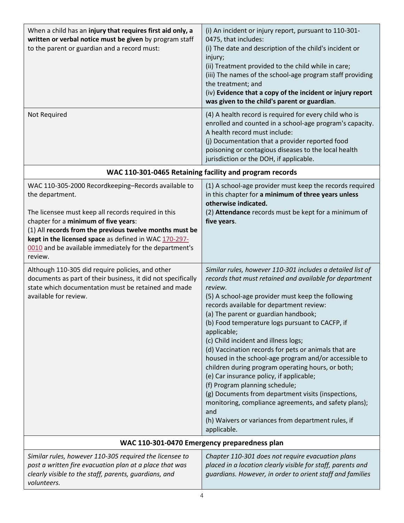| When a child has an injury that requires first aid only, a<br>written or verbal notice must be given by program staff<br>to the parent or guardian and a record must:                                                                                                                                                                                          | (i) An incident or injury report, pursuant to 110-301-<br>0475, that includes:<br>(i) The date and description of the child's incident or<br>injury;<br>(ii) Treatment provided to the child while in care;<br>(iii) The names of the school-age program staff providing<br>the treatment; and<br>(iv) Evidence that a copy of the incident or injury report<br>was given to the child's parent or guardian.                                                                                                                                                                                                                                                                                                                                                                                                                       |
|----------------------------------------------------------------------------------------------------------------------------------------------------------------------------------------------------------------------------------------------------------------------------------------------------------------------------------------------------------------|------------------------------------------------------------------------------------------------------------------------------------------------------------------------------------------------------------------------------------------------------------------------------------------------------------------------------------------------------------------------------------------------------------------------------------------------------------------------------------------------------------------------------------------------------------------------------------------------------------------------------------------------------------------------------------------------------------------------------------------------------------------------------------------------------------------------------------|
| Not Required                                                                                                                                                                                                                                                                                                                                                   | (4) A health record is required for every child who is<br>enrolled and counted in a school-age program's capacity.<br>A health record must include:<br>(j) Documentation that a provider reported food<br>poisoning or contagious diseases to the local health<br>jurisdiction or the DOH, if applicable.                                                                                                                                                                                                                                                                                                                                                                                                                                                                                                                          |
| WAC 110-301-0465 Retaining facility and program records                                                                                                                                                                                                                                                                                                        |                                                                                                                                                                                                                                                                                                                                                                                                                                                                                                                                                                                                                                                                                                                                                                                                                                    |
| WAC 110-305-2000 Recordkeeping-Records available to<br>the department.<br>The licensee must keep all records required in this<br>chapter for a minimum of five years:<br>(1) All records from the previous twelve months must be<br>kept in the licensed space as defined in WAC 170-297-<br>0010 and be available immediately for the department's<br>review. | (1) A school-age provider must keep the records required<br>in this chapter for a minimum of three years unless<br>otherwise indicated.<br>(2) Attendance records must be kept for a minimum of<br>five years.                                                                                                                                                                                                                                                                                                                                                                                                                                                                                                                                                                                                                     |
| Although 110-305 did require policies, and other<br>documents as part of their business, it did not specifically<br>state which documentation must be retained and made<br>available for review.                                                                                                                                                               | Similar rules, however 110-301 includes a detailed list of<br>records that must retained and available for department<br>review.<br>(5) A school-age provider must keep the following<br>records available for department review:<br>(a) The parent or guardian handbook;<br>(b) Food temperature logs pursuant to CACFP, if<br>applicable;<br>(c) Child incident and illness logs;<br>(d) Vaccination records for pets or animals that are<br>housed in the school-age program and/or accessible to<br>children during program operating hours, or both;<br>(e) Car insurance policy, if applicable;<br>(f) Program planning schedule;<br>(g) Documents from department visits (inspections,<br>monitoring, compliance agreements, and safety plans);<br>and<br>(h) Waivers or variances from department rules, if<br>applicable. |
|                                                                                                                                                                                                                                                                                                                                                                | WAC 110-301-0470 Emergency preparedness plan                                                                                                                                                                                                                                                                                                                                                                                                                                                                                                                                                                                                                                                                                                                                                                                       |
| Similar rules, however 110-305 required the licensee to<br>post a written fire evacuation plan at a place that was<br>clearly visible to the staff, parents, guardians, and<br>volunteers.                                                                                                                                                                     | Chapter 110-301 does not require evacuation plans<br>placed in a location clearly visible for staff, parents and<br>guardians. However, in order to orient staff and families                                                                                                                                                                                                                                                                                                                                                                                                                                                                                                                                                                                                                                                      |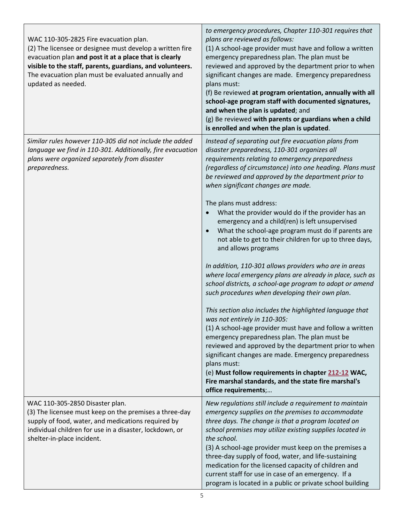| WAC 110-305-2825 Fire evacuation plan.<br>(2) The licensee or designee must develop a written fire<br>evacuation plan and post it at a place that is clearly<br>visible to the staff, parents, guardians, and volunteers.<br>The evacuation plan must be evaluated annually and<br>updated as needed. | to emergency procedures, Chapter 110-301 requires that<br>plans are reviewed as follows:<br>(1) A school-age provider must have and follow a written<br>emergency preparedness plan. The plan must be<br>reviewed and approved by the department prior to when<br>significant changes are made. Emergency preparedness<br>plans must:<br>(f) Be reviewed at program orientation, annually with all<br>school-age program staff with documented signatures,<br>and when the plan is updated; and<br>(g) Be reviewed with parents or guardians when a child<br>is enrolled and when the plan is updated.                                                                                                                                                                                                                                                                                                                                                                                                                                                                                                                                                                                                                                                                                                             |
|-------------------------------------------------------------------------------------------------------------------------------------------------------------------------------------------------------------------------------------------------------------------------------------------------------|--------------------------------------------------------------------------------------------------------------------------------------------------------------------------------------------------------------------------------------------------------------------------------------------------------------------------------------------------------------------------------------------------------------------------------------------------------------------------------------------------------------------------------------------------------------------------------------------------------------------------------------------------------------------------------------------------------------------------------------------------------------------------------------------------------------------------------------------------------------------------------------------------------------------------------------------------------------------------------------------------------------------------------------------------------------------------------------------------------------------------------------------------------------------------------------------------------------------------------------------------------------------------------------------------------------------|
| Similar rules however 110-305 did not include the added<br>language we find in 110-301. Additionally, fire evacuation<br>plans were organized separately from disaster<br>preparedness.                                                                                                               | Instead of separating out fire evacuation plans from<br>disaster preparedness, 110-301 organizes all<br>requirements relating to emergency preparedness<br>(regardless of circumstance) into one heading. Plans must<br>be reviewed and approved by the department prior to<br>when significant changes are made.<br>The plans must address:<br>What the provider would do if the provider has an<br>emergency and a child(ren) is left unsupervised<br>What the school-age program must do if parents are<br>not able to get to their children for up to three days,<br>and allows programs<br>In addition, 110-301 allows providers who are in areas<br>where local emergency plans are already in place, such as<br>school districts, a school-age program to adopt or amend<br>such procedures when developing their own plan.<br>This section also includes the highlighted language that<br>was not entirely in 110-305:<br>(1) A school-age provider must have and follow a written<br>emergency preparedness plan. The plan must be<br>reviewed and approved by the department prior to when<br>significant changes are made. Emergency preparedness<br>plans must:<br>(e) Must follow requirements in chapter 212-12 WAC,<br>Fire marshal standards, and the state fire marshal's<br>office requirements; |
| WAC 110-305-2850 Disaster plan.<br>(3) The licensee must keep on the premises a three-day<br>supply of food, water, and medications required by<br>individual children for use in a disaster, lockdown, or<br>shelter-in-place incident.                                                              | New regulations still include a requirement to maintain<br>emergency supplies on the premises to accommodate<br>three days. The change is that a program located on<br>school premises may utilize existing supplies located in<br>the school.<br>(3) A school-age provider must keep on the premises a<br>three-day supply of food, water, and life-sustaining<br>medication for the licensed capacity of children and<br>current staff for use in case of an emergency. If a<br>program is located in a public or private school building                                                                                                                                                                                                                                                                                                                                                                                                                                                                                                                                                                                                                                                                                                                                                                        |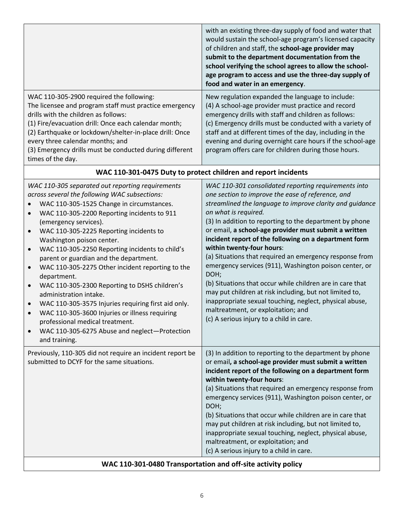|                                                                                                                                                                                                                                                                                                                                                                                                                                                                                                                                                                                                                                                                                                                                                                                                                                                    | with an existing three-day supply of food and water that<br>would sustain the school-age program's licensed capacity<br>of children and staff, the school-age provider may<br>submit to the department documentation from the<br>school verifying the school agrees to allow the school-<br>age program to access and use the three-day supply of<br>food and water in an emergency.                                                                                                                                                                                                                                                                                                                                                                                                                     |
|----------------------------------------------------------------------------------------------------------------------------------------------------------------------------------------------------------------------------------------------------------------------------------------------------------------------------------------------------------------------------------------------------------------------------------------------------------------------------------------------------------------------------------------------------------------------------------------------------------------------------------------------------------------------------------------------------------------------------------------------------------------------------------------------------------------------------------------------------|----------------------------------------------------------------------------------------------------------------------------------------------------------------------------------------------------------------------------------------------------------------------------------------------------------------------------------------------------------------------------------------------------------------------------------------------------------------------------------------------------------------------------------------------------------------------------------------------------------------------------------------------------------------------------------------------------------------------------------------------------------------------------------------------------------|
| WAC 110-305-2900 required the following:<br>The licensee and program staff must practice emergency<br>drills with the children as follows:<br>(1) Fire/evacuation drill: Once each calendar month;<br>(2) Earthquake or lockdown/shelter-in-place drill: Once<br>every three calendar months; and<br>(3) Emergency drills must be conducted during different<br>times of the day.                                                                                                                                                                                                                                                                                                                                                                                                                                                                  | New regulation expanded the language to include:<br>(4) A school-age provider must practice and record<br>emergency drills with staff and children as follows:<br>(c) Emergency drills must be conducted with a variety of<br>staff and at different times of the day, including in the<br>evening and during overnight care hours if the school-age<br>program offers care for children during those hours.                                                                                                                                                                                                                                                                                                                                                                                             |
|                                                                                                                                                                                                                                                                                                                                                                                                                                                                                                                                                                                                                                                                                                                                                                                                                                                    | WAC 110-301-0475 Duty to protect children and report incidents                                                                                                                                                                                                                                                                                                                                                                                                                                                                                                                                                                                                                                                                                                                                           |
| WAC 110-305 separated out reporting requirements<br>across several the following WAC subsections:<br>WAC 110-305-1525 Change in circumstances.<br>WAC 110-305-2200 Reporting incidents to 911<br>$\bullet$<br>(emergency services).<br>WAC 110-305-2225 Reporting incidents to<br>$\bullet$<br>Washington poison center.<br>WAC 110-305-2250 Reporting incidents to child's<br>$\bullet$<br>parent or guardian and the department.<br>WAC 110-305-2275 Other incident reporting to the<br>$\bullet$<br>department.<br>WAC 110-305-2300 Reporting to DSHS children's<br>$\bullet$<br>administration intake.<br>WAC 110-305-3575 Injuries requiring first aid only.<br>$\bullet$<br>WAC 110-305-3600 Injuries or illness requiring<br>$\bullet$<br>professional medical treatment.<br>WAC 110-305-6275 Abuse and neglect-Protection<br>and training. | WAC 110-301 consolidated reporting requirements into<br>one section to improve the ease of reference, and<br>streamlined the language to improve clarity and guidance<br>on what is required.<br>(3) In addition to reporting to the department by phone<br>or email, a school-age provider must submit a written<br>incident report of the following on a department form<br>within twenty-four hours:<br>(a) Situations that required an emergency response from<br>emergency services (911), Washington poison center, or<br>DOH;<br>(b) Situations that occur while children are in care that<br>may put children at risk including, but not limited to,<br>inappropriate sexual touching, neglect, physical abuse,<br>maltreatment, or exploitation; and<br>(c) A serious injury to a child in care |
| Previously, 110-305 did not require an incident report be<br>submitted to DCYF for the same situations.                                                                                                                                                                                                                                                                                                                                                                                                                                                                                                                                                                                                                                                                                                                                            | (3) In addition to reporting to the department by phone<br>or email, a school-age provider must submit a written<br>incident report of the following on a department form<br>within twenty-four hours:<br>(a) Situations that required an emergency response from<br>emergency services (911), Washington poison center, or<br>DOH;<br>(b) Situations that occur while children are in care that<br>may put children at risk including, but not limited to,<br>inappropriate sexual touching, neglect, physical abuse,<br>maltreatment, or exploitation; and                                                                                                                                                                                                                                             |

(c) A serious injury to a child in care.

## **WAC 110-301-0480 Transportation and off-site activity policy**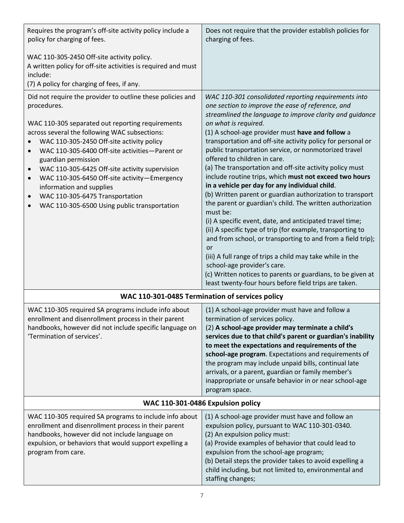| Requires the program's off-site activity policy include a<br>policy for charging of fees.                                                                                                                                                                                                                                                                                                                                                                                                                                                                                              | Does not require that the provider establish policies for<br>charging of fees.                                                                                                                                                                                                                                                                                                                                                                                                                                                                                                                                                                                                                                                                                                                                                                                                                                                                                                                                                                                                                                                             |
|----------------------------------------------------------------------------------------------------------------------------------------------------------------------------------------------------------------------------------------------------------------------------------------------------------------------------------------------------------------------------------------------------------------------------------------------------------------------------------------------------------------------------------------------------------------------------------------|--------------------------------------------------------------------------------------------------------------------------------------------------------------------------------------------------------------------------------------------------------------------------------------------------------------------------------------------------------------------------------------------------------------------------------------------------------------------------------------------------------------------------------------------------------------------------------------------------------------------------------------------------------------------------------------------------------------------------------------------------------------------------------------------------------------------------------------------------------------------------------------------------------------------------------------------------------------------------------------------------------------------------------------------------------------------------------------------------------------------------------------------|
| WAC 110-305-2450 Off-site activity policy.<br>A written policy for off-site activities is required and must<br>include:<br>(7) A policy for charging of fees, if any.                                                                                                                                                                                                                                                                                                                                                                                                                  |                                                                                                                                                                                                                                                                                                                                                                                                                                                                                                                                                                                                                                                                                                                                                                                                                                                                                                                                                                                                                                                                                                                                            |
| Did not require the provider to outline these policies and<br>procedures.<br>WAC 110-305 separated out reporting requirements<br>across several the following WAC subsections:<br>WAC 110-305-2450 Off-site activity policy<br>WAC 110-305-6400 Off-site activities-Parent or<br>$\bullet$<br>guardian permission<br>WAC 110-305-6425 Off-site activity supervision<br>$\bullet$<br>WAC 110-305-6450 Off-site activity-Emergency<br>$\bullet$<br>information and supplies<br>WAC 110-305-6475 Transportation<br>$\bullet$<br>WAC 110-305-6500 Using public transportation<br>$\bullet$ | WAC 110-301 consolidated reporting requirements into<br>one section to improve the ease of reference, and<br>streamlined the language to improve clarity and quidance<br>on what is required.<br>(1) A school-age provider must have and follow a<br>transportation and off-site activity policy for personal or<br>public transportation service, or nonmotorized travel<br>offered to children in care.<br>(a) The transportation and off-site activity policy must<br>include routine trips, which must not exceed two hours<br>in a vehicle per day for any individual child.<br>(b) Written parent or guardian authorization to transport<br>the parent or guardian's child. The written authorization<br>must be:<br>(i) A specific event, date, and anticipated travel time;<br>(ii) A specific type of trip (for example, transporting to<br>and from school, or transporting to and from a field trip);<br>or<br>(iii) A full range of trips a child may take while in the<br>school-age provider's care.<br>(c) Written notices to parents or guardians, to be given at<br>least twenty-four hours before field trips are taken. |
|                                                                                                                                                                                                                                                                                                                                                                                                                                                                                                                                                                                        | WAC 110-301-0485 Termination of services policy                                                                                                                                                                                                                                                                                                                                                                                                                                                                                                                                                                                                                                                                                                                                                                                                                                                                                                                                                                                                                                                                                            |
| WAC 110-305 required SA programs include info about<br>enrollment and disenrollment process in their parent<br>handbooks, however did not include specific language on<br>'Termination of services'.                                                                                                                                                                                                                                                                                                                                                                                   | (1) A school-age provider must have and follow a<br>termination of services policy.<br>(2) A school-age provider may terminate a child's<br>services due to that child's parent or guardian's inability<br>to meet the expectations and requirements of the<br>school-age program. Expectations and requirements of<br>the program may include unpaid bills, continual late<br>arrivals, or a parent, guardian or family member's<br>inappropriate or unsafe behavior in or near school-age<br>program space.                                                                                                                                                                                                                                                                                                                                                                                                                                                                                                                                                                                                                              |
|                                                                                                                                                                                                                                                                                                                                                                                                                                                                                                                                                                                        | WAC 110-301-0486 Expulsion policy                                                                                                                                                                                                                                                                                                                                                                                                                                                                                                                                                                                                                                                                                                                                                                                                                                                                                                                                                                                                                                                                                                          |
| WAC 110-305 required SA programs to include info about<br>enrollment and disenrollment process in their parent<br>handbooks, however did not include language on<br>expulsion, or behaviors that would support expelling a<br>program from care.                                                                                                                                                                                                                                                                                                                                       | (1) A school-age provider must have and follow an<br>expulsion policy, pursuant to WAC 110-301-0340.<br>(2) An expulsion policy must:<br>(a) Provide examples of behavior that could lead to<br>expulsion from the school-age program;<br>(b) Detail steps the provider takes to avoid expelling a<br>child including, but not limited to, environmental and<br>staffing changes;                                                                                                                                                                                                                                                                                                                                                                                                                                                                                                                                                                                                                                                                                                                                                          |